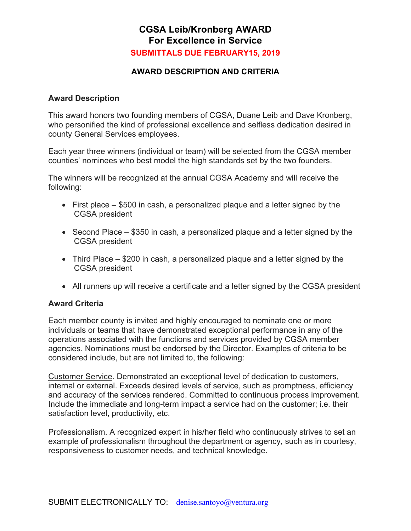## **CGSA Leib/Kronberg AWARD For Excellence in Service SUBMITTALS DUE FEBRUARY15, 2019**

### **AWARD DESCRIPTION AND CRITERIA**

#### **Award Description**

This award honors two founding members of CGSA, Duane Leib and Dave Kronberg, who personified the kind of professional excellence and selfless dedication desired in county General Services employees.

Each year three winners (individual or team) will be selected from the CGSA member counties' nominees who best model the high standards set by the two founders.

The winners will be recognized at the annual CGSA Academy and will receive the following:

- First place \$500 in cash, a personalized plaque and a letter signed by the CGSA president
- Second Place \$350 in cash, a personalized plaque and a letter signed by the CGSA president
- Third Place \$200 in cash, a personalized plaque and a letter signed by the CGSA president
- All runners up will receive a certificate and a letter signed by the CGSA president

#### **Award Criteria**

Each member county is invited and highly encouraged to nominate one or more individuals or teams that have demonstrated exceptional performance in any of the operations associated with the functions and services provided by CGSA member agencies. Nominations must be endorsed by the Director. Examples of criteria to be considered include, but are not limited to, the following:

Customer Service. Demonstrated an exceptional level of dedication to customers, internal or external. Exceeds desired levels of service, such as promptness, efficiency and accuracy of the services rendered. Committed to continuous process improvement. Include the immediate and long-term impact a service had on the customer; i.e. their satisfaction level, productivity, etc.

Professionalism. A recognized expert in his/her field who continuously strives to set an example of professionalism throughout the department or agency, such as in courtesy, responsiveness to customer needs, and technical knowledge.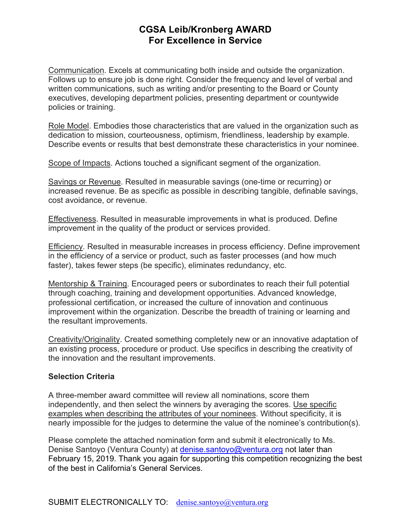## **CGSA Leib/Kronberg AWARD For Excellence in Service**

Communication. Excels at communicating both inside and outside the organization. Follows up to ensure job is done right. Consider the frequency and level of verbal and written communications, such as writing and/or presenting to the Board or County executives, developing department policies, presenting department or countywide policies or training.

Role Model. Embodies those characteristics that are valued in the organization such as dedication to mission, courteousness, optimism, friendliness, leadership by example. Describe events or results that best demonstrate these characteristics in your nominee.

Scope of Impacts. Actions touched a significant segment of the organization.

Savings or Revenue. Resulted in measurable savings (one-time or recurring) or increased revenue. Be as specific as possible in describing tangible, definable savings, cost avoidance, or revenue.

Effectiveness. Resulted in measurable improvements in what is produced. Define improvement in the quality of the product or services provided.

Efficiency. Resulted in measurable increases in process efficiency. Define improvement in the efficiency of a service or product, such as faster processes (and how much faster), takes fewer steps (be specific), eliminates redundancy, etc.

Mentorship & Training. Encouraged peers or subordinates to reach their full potential through coaching, training and development opportunities. Advanced knowledge, professional certification, or increased the culture of innovation and continuous improvement within the organization. Describe the breadth of training or learning and the resultant improvements.

Creativity/Originality. Created something completely new or an innovative adaptation of an existing process, procedure or product. Use specifics in describing the creativity of the innovation and the resultant improvements.

#### **Selection Criteria**

A three-member award committee will review all nominations, score them independently, and then select the winners by averaging the scores. Use specific examples when describing the attributes of your nominees. Without specificity, it is nearly impossible for the judges to determine the value of the nominee's contribution(s).

Please complete the attached nomination form and submit it electronically to Ms. Denise Santoyo (Ventura County) at *denise.santoyo@ventura.org* not later than February 15, 2019. Thank you again for supporting this competition recognizing the best of the best in California's General Services.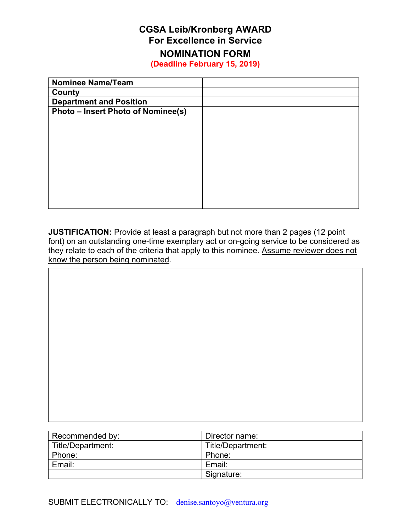# **CGSA Leib/Kronberg AWARD For Excellence in Service**

# **NOMINATION FORM**

**(Deadline February 15, 2019)** 

| <b>Nominee Name/Team</b>                  |  |
|-------------------------------------------|--|
| County                                    |  |
| <b>Department and Position</b>            |  |
| <b>Photo - Insert Photo of Nominee(s)</b> |  |
|                                           |  |
|                                           |  |
|                                           |  |
|                                           |  |
|                                           |  |
|                                           |  |
|                                           |  |
|                                           |  |
|                                           |  |
|                                           |  |

**JUSTIFICATION:** Provide at least a paragraph but not more than 2 pages (12 point font) on an outstanding one-time exemplary act or on-going service to be considered as they relate to each of the criteria that apply to this nominee. Assume reviewer does not know the person being nominated.

| Recommended by: | Director name: |  |
|-----------------|----------------|--|

| Recommended by:   | Director name:    |
|-------------------|-------------------|
| Title/Department: | Title/Department: |
| Phone:            | Phone:            |
| Email:            | Email:            |
|                   | Signature:        |